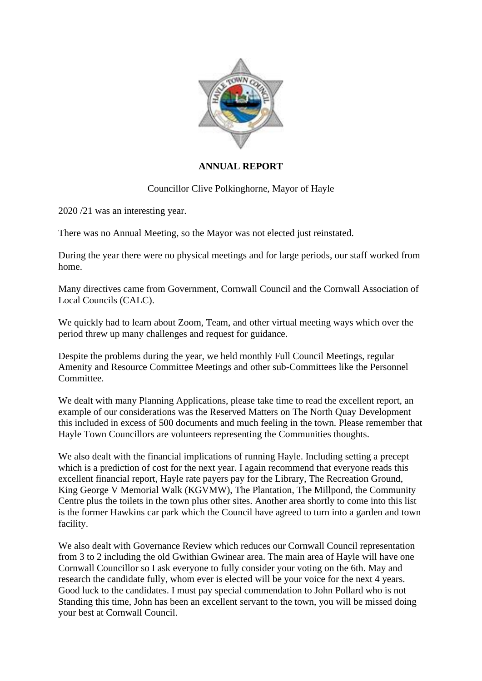

## **ANNUAL REPORT**

## Councillor Clive Polkinghorne, Mayor of Hayle

2020 /21 was an interesting year.

There was no Annual Meeting, so the Mayor was not elected just reinstated.

During the year there were no physical meetings and for large periods, our staff worked from home.

Many directives came from Government, Cornwall Council and the Cornwall Association of Local Councils (CALC).

We quickly had to learn about Zoom, Team, and other virtual meeting ways which over the period threw up many challenges and request for guidance.

Despite the problems during the year, we held monthly Full Council Meetings, regular Amenity and Resource Committee Meetings and other sub-Committees like the Personnel Committee.

We dealt with many Planning Applications, please take time to read the excellent report, an example of our considerations was the Reserved Matters on The North Quay Development this included in excess of 500 documents and much feeling in the town. Please remember that Hayle Town Councillors are volunteers representing the Communities thoughts.

We also dealt with the financial implications of running Hayle. Including setting a precept which is a prediction of cost for the next year. I again recommend that everyone reads this excellent financial report, Hayle rate payers pay for the Library, The Recreation Ground, King George V Memorial Walk (KGVMW), The Plantation, The Millpond, the Community Centre plus the toilets in the town plus other sites. Another area shortly to come into this list is the former Hawkins car park which the Council have agreed to turn into a garden and town facility.

We also dealt with Governance Review which reduces our Cornwall Council representation from 3 to 2 including the old Gwithian Gwinear area. The main area of Hayle will have one Cornwall Councillor so I ask everyone to fully consider your voting on the 6th. May and research the candidate fully, whom ever is elected will be your voice for the next 4 years. Good luck to the candidates. I must pay special commendation to John Pollard who is not Standing this time, John has been an excellent servant to the town, you will be missed doing your best at Cornwall Council.